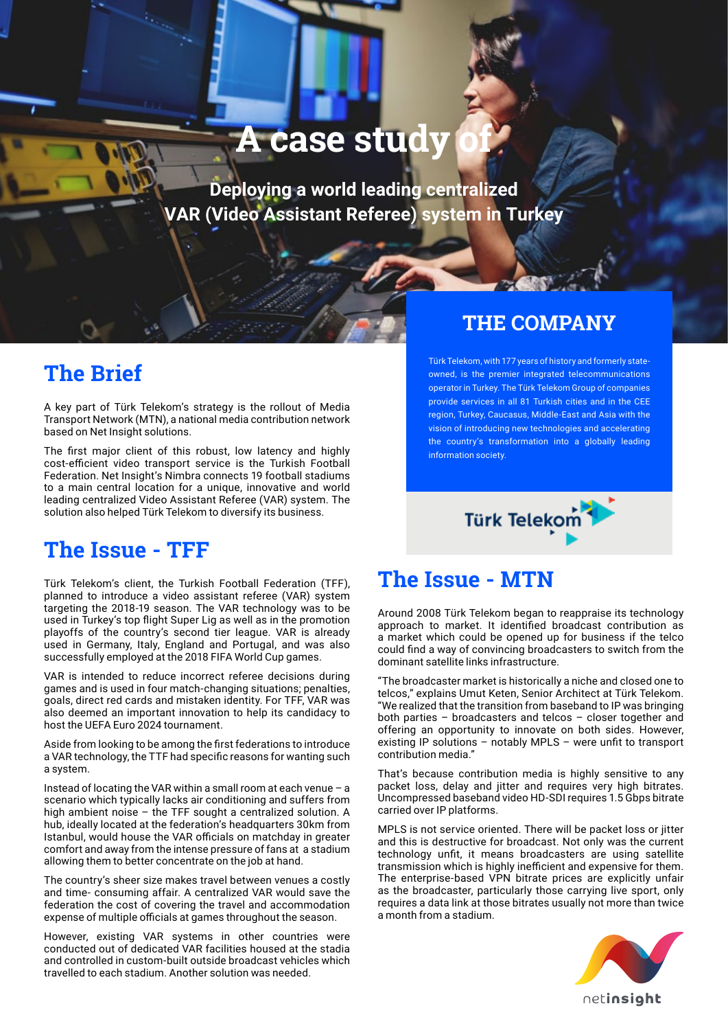# **A case study**

**Deploying a world leading centralized VAR (Video Assistant Referee) system in Turkey**

## **The Brief**

A key part of Türk Telekom's strategy is the rollout of Media Transport Network (MTN), a national media contribution network based on Net Insight solutions.

The first major client of this robust, low latency and highly cost-efficient video transport service is the Turkish Football Federation. Net Insight's Nimbra connects 19 football stadiums to a main central location for a unique, innovative and world leading centralized Video Assistant Referee (VAR) system. The solution also helped Türk Telekom to diversify its business.

## **The Issue - TFF**

Türk Telekom's client, the Turkish Football Federation (TFF), planned to introduce a video assistant referee (VAR) system targeting the 2018-19 season. The VAR technology was to be used in Turkey's top flight Super Lig as well as in the promotion playoffs of the country's second tier league. VAR is already used in Germany, Italy, England and Portugal, and was also successfully employed at the 2018 FIFA World Cup games.

VAR is intended to reduce incorrect referee decisions during games and is used in four match-changing situations; penalties, goals, direct red cards and mistaken identity. For TFF, VAR was also deemed an important innovation to help its candidacy to host the UEFA Euro 2024 tournament.

Aside from looking to be among the first federations to introduce a VAR technology, the TTF had specific reasons for wanting such a system.

Instead of locating the VAR within a small room at each venue – a scenario which typically lacks air conditioning and suffers from high ambient noise – the TFF sought a centralized solution. A hub, ideally located at the federation's headquarters 30km from Istanbul, would house the VAR officials on matchday in greater comfort and away from the intense pressure of fans at a stadium allowing them to better concentrate on the job at hand.

The country's sheer size makes travel between venues a costly and time- consuming affair. A centralized VAR would save the federation the cost of covering the travel and accommodation expense of multiple officials at games throughout the season.

However, existing VAR systems in other countries were conducted out of dedicated VAR facilities housed at the stadia and controlled in custom-built outside broadcast vehicles which travelled to each stadium. Another solution was needed.

#### **THE COMPANY**

Türk Telekom, with 177 years of history and formerly stateowned, is the premier integrated telecommunications operator in Turkey. The Türk Telekom Group of companies provide services in all 81 Turkish cities and in the CEE region, Turkey, Caucasus, Middle-East and Asia with the vision of introducing new technologies and accelerating the country's transformation into a globally leading information society.



### **The Issue - MTN**

Around 2008 Türk Telekom began to reappraise its technology approach to market. It identified broadcast contribution as a market which could be opened up for business if the telco could find a way of convincing broadcasters to switch from the dominant satellite links infrastructure.

"The broadcaster market is historically a niche and closed one to telcos," explains Umut Keten, Senior Architect at Türk Telekom. "We realized that the transition from baseband to IP was bringing both parties – broadcasters and telcos – closer together and offering an opportunity to innovate on both sides. However, existing IP solutions – notably MPLS – were unfit to transport contribution media."

That's because contribution media is highly sensitive to any packet loss, delay and jitter and requires very high bitrates. Uncompressed baseband video HD-SDI requires 1.5 Gbps bitrate carried over IP platforms.

MPLS is not service oriented. There will be packet loss or jitter and this is destructive for broadcast. Not only was the current technology unfit, it means broadcasters are using satellite transmission which is highly inefficient and expensive for them. The enterprise-based VPN bitrate prices are explicitly unfair as the broadcaster, particularly those carrying live sport, only requires a data link at those bitrates usually not more than twice a month from a stadium.